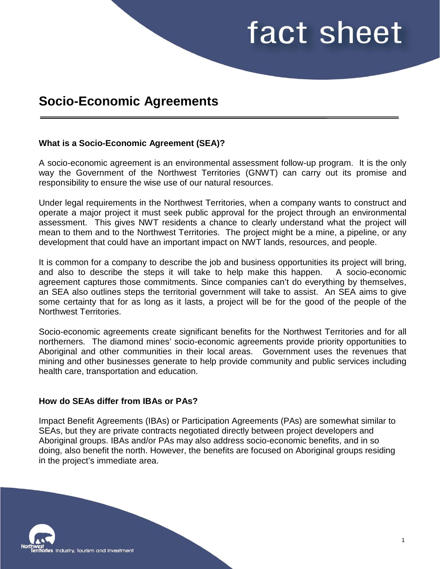## fact sheet

### **Socio-Economic Agreements**

#### **What is a Socio-Economic Agreement (SEA)?**

A socio-economic agreement is an environmental assessment follow-up program. It is the only way the Government of the Northwest Territories (GNWT) can carry out its promise and responsibility to ensure the wise use of our natural resources.

Under legal requirements in the Northwest Territories, when a company wants to construct and operate a major project it must seek public approval for the project through an environmental assessment. This gives NWT residents a chance to clearly understand what the project will mean to them and to the Northwest Territories. The project might be a mine, a pipeline, or any development that could have an important impact on NWT lands, resources, and people.

It is common for a company to describe the job and business opportunities its project will bring, and also to describe the steps it will take to help make this happen. A socio-economic agreement captures those commitments. Since companies can't do everything by themselves, an SEA also outlines steps the territorial government will take to assist. An SEA aims to give some certainty that for as long as it lasts, a project will be for the good of the people of the Northwest Territories.

Socio-economic agreements create significant benefits for the Northwest Territories and for all northerners. The diamond mines' socio-economic agreements provide priority opportunities to Aboriginal and other communities in their local areas. Government uses the revenues that mining and other businesses generate to help provide community and public services including health care, transportation and education.

#### **How do SEAs differ from IBAs or PAs?**

Impact Benefit Agreements (IBAs) or Participation Agreements (PAs) are somewhat similar to SEAs, but they are private contracts negotiated directly between project developers and Aboriginal groups. IBAs and/or PAs may also address socio-economic benefits, and in so doing, also benefit the north. However, the benefits are focused on Aboriginal groups residing in the project's immediate area.